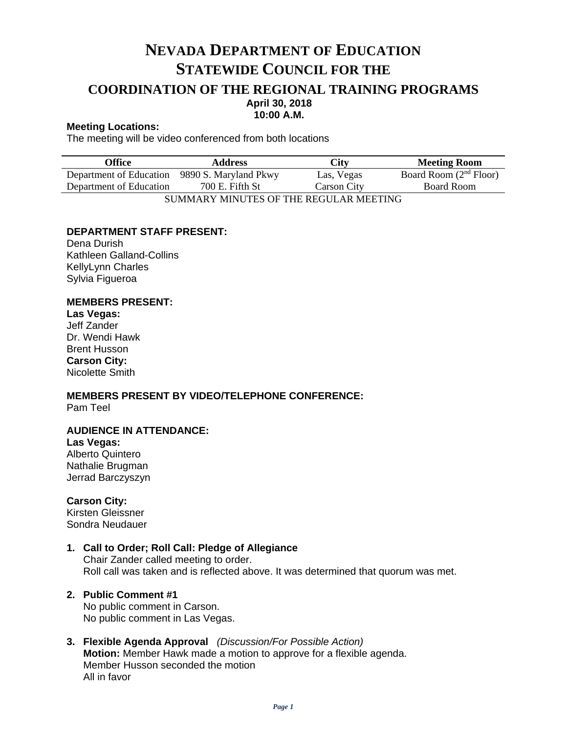# **NEVADA DEPARTMENT OF EDUCATION STATEWIDE COUNCIL FOR THE COORDINATION OF THE REGIONAL TRAINING PROGRAMS April 30, 2018 10:00 A.M.**

### **Meeting Locations:**

The meeting will be video conferenced from both locations

| Office                                    | <b>Address</b>        | <b>City</b> | <b>Meeting Room</b>      |
|-------------------------------------------|-----------------------|-------------|--------------------------|
| Department of Education                   | 9890 S. Maryland Pkwy | Las, Vegas  | Board Room $(2nd$ Floor) |
| Department of Education                   | 700 E. Fifth St       | Carson City | Board Room               |
| SHMMARY MINITES OF THE REGIII AR MEETING. |                       |             |                          |

SUMMARY MINUTES OF THE REGULAR MEETING

# **DEPARTMENT STAFF PRESENT:**

Dena Durish Kathleen Galland-Collins KellyLynn Charles Sylvia Figueroa

# **MEMBERS PRESENT:**

**Las Vegas:** Jeff Zander Dr. Wendi Hawk Brent Husson **Carson City:** Nicolette Smith

# **MEMBERS PRESENT BY VIDEO/TELEPHONE CONFERENCE:**

Pam Teel

#### **AUDIENCE IN ATTENDANCE:**

**Las Vegas:**  Alberto Quintero Nathalie Brugman Jerrad Barczyszyn

**Carson City:** Kirsten Gleissner Sondra Neudauer

### **1. Call to Order; Roll Call: Pledge of Allegiance** Chair Zander called meeting to order. Roll call was taken and is reflected above. It was determined that quorum was met.

#### **2. Public Comment #1** No public comment in Carson. No public comment in Las Vegas.

**3. Flexible Agenda Approval** *(Discussion/For Possible Action)* **Motion:** Member Hawk made a motion to approve for a flexible agenda. Member Husson seconded the motion All in favor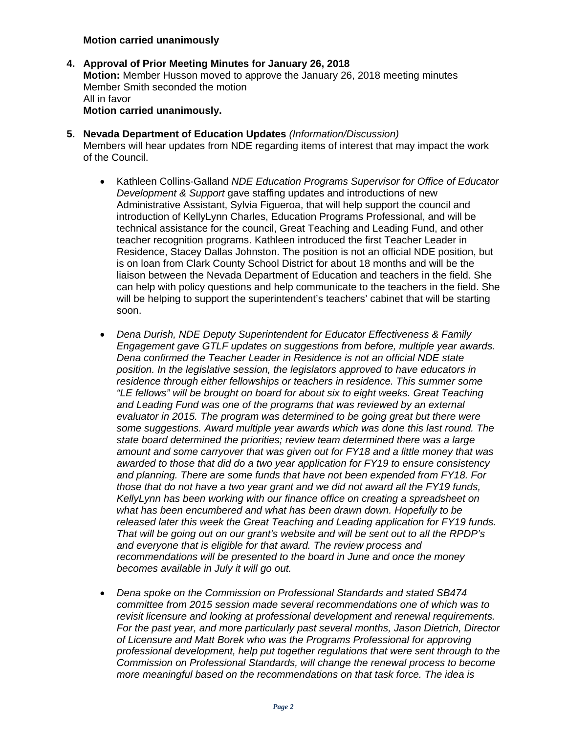## **Motion carried unanimously**

- **4. Approval of Prior Meeting Minutes for January 26, 2018 Motion:** Member Husson moved to approve the January 26, 2018 meeting minutes Member Smith seconded the motion All in favor **Motion carried unanimously.**
- **5. Nevada Department of Education Updates** *(Information/Discussion)* Members will hear updates from NDE regarding items of interest that may impact the work of the Council.
	- Kathleen Collins-Galland *NDE Education Programs Supervisor for Office of Educator Development & Support* gave staffing updates and introductions of new Administrative Assistant, Sylvia Figueroa, that will help support the council and introduction of KellyLynn Charles, Education Programs Professional, and will be technical assistance for the council, Great Teaching and Leading Fund, and other teacher recognition programs. Kathleen introduced the first Teacher Leader in Residence, Stacey Dallas Johnston. The position is not an official NDE position, but is on loan from Clark County School District for about 18 months and will be the liaison between the Nevada Department of Education and teachers in the field. She can help with policy questions and help communicate to the teachers in the field. She will be helping to support the superintendent's teachers' cabinet that will be starting soon.
	- *Dena Durish, NDE Deputy Superintendent for Educator Effectiveness & Family Engagement gave GTLF updates on suggestions from before, multiple year awards. Dena confirmed the Teacher Leader in Residence is not an official NDE state position. In the legislative session, the legislators approved to have educators in residence through either fellowships or teachers in residence. This summer some "LE fellows" will be brought on board for about six to eight weeks. Great Teaching and Leading Fund was one of the programs that was reviewed by an external evaluator in 2015. The program was determined to be going great but there were some suggestions. Award multiple year awards which was done this last round. The state board determined the priorities; review team determined there was a large amount and some carryover that was given out for FY18 and a little money that was awarded to those that did do a two year application for FY19 to ensure consistency and planning. There are some funds that have not been expended from FY18. For those that do not have a two year grant and we did not award all the FY19 funds, KellyLynn has been working with our finance office on creating a spreadsheet on what has been encumbered and what has been drawn down. Hopefully to be released later this week the Great Teaching and Leading application for FY19 funds. That will be going out on our grant's website and will be sent out to all the RPDP's and everyone that is eligible for that award. The review process and recommendations will be presented to the board in June and once the money becomes available in July it will go out.*
	- *Dena spoke on the Commission on Professional Standards and stated SB474 committee from 2015 session made several recommendations one of which was to revisit licensure and looking at professional development and renewal requirements. For the past year, and more particularly past several months, Jason Dietrich, Director of Licensure and Matt Borek who was the Programs Professional for approving professional development, help put together regulations that were sent through to the Commission on Professional Standards, will change the renewal process to become more meaningful based on the recommendations on that task force. The idea is*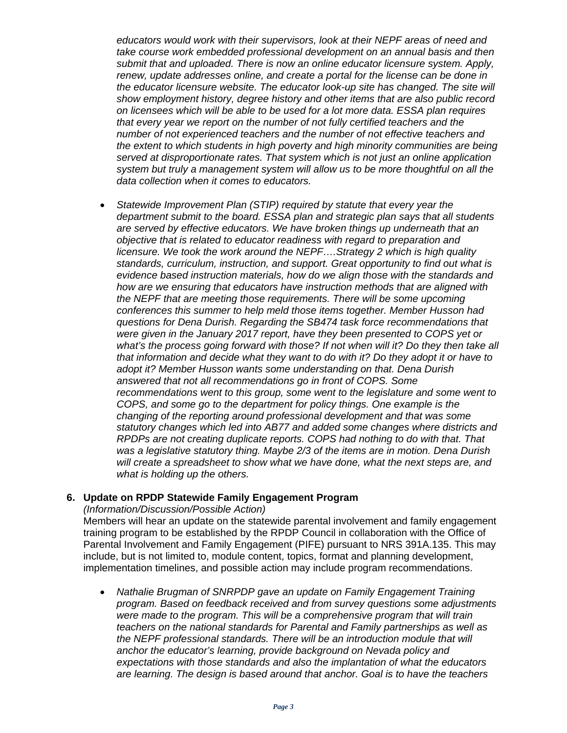*educators would work with their supervisors, look at their NEPF areas of need and take course work embedded professional development on an annual basis and then submit that and uploaded. There is now an online educator licensure system. Apply, renew, update addresses online, and create a portal for the license can be done in the educator licensure website. The educator look-up site has changed. The site will show employment history, degree history and other items that are also public record on licensees which will be able to be used for a lot more data. ESSA plan requires that every year we report on the number of not fully certified teachers and the number of not experienced teachers and the number of not effective teachers and the extent to which students in high poverty and high minority communities are being served at disproportionate rates. That system which is not just an online application system but truly a management system will allow us to be more thoughtful on all the data collection when it comes to educators.*

• *Statewide Improvement Plan (STIP) required by statute that every year the department submit to the board. ESSA plan and strategic plan says that all students are served by effective educators. We have broken things up underneath that an objective that is related to educator readiness with regard to preparation and licensure. We took the work around the NEPF….Strategy 2 which is high quality standards, curriculum, instruction, and support. Great opportunity to find out what is evidence based instruction materials, how do we align those with the standards and how are we ensuring that educators have instruction methods that are aligned with the NEPF that are meeting those requirements. There will be some upcoming conferences this summer to help meld those items together. Member Husson had questions for Dena Durish. Regarding the SB474 task force recommendations that were given in the January 2017 report, have they been presented to COPS yet or what's the process going forward with those? If not when will it? Do they then take all that information and decide what they want to do with it? Do they adopt it or have to adopt it? Member Husson wants some understanding on that. Dena Durish answered that not all recommendations go in front of COPS. Some recommendations went to this group, some went to the legislature and some went to COPS, and some go to the department for policy things. One example is the changing of the reporting around professional development and that was some statutory changes which led into AB77 and added some changes where districts and RPDPs are not creating duplicate reports. COPS had nothing to do with that. That was a legislative statutory thing. Maybe 2/3 of the items are in motion. Dena Durish will create a spreadsheet to show what we have done, what the next steps are, and what is holding up the others.*

#### **6. Update on RPDP Statewide Family Engagement Program**

#### *(Information/Discussion/Possible Action)*

Members will hear an update on the statewide parental involvement and family engagement training program to be established by the RPDP Council in collaboration with the Office of Parental Involvement and Family Engagement (PIFE) pursuant to NRS 391A.135. This may include, but is not limited to, module content, topics, format and planning development, implementation timelines, and possible action may include program recommendations.

• *Nathalie Brugman of SNRPDP gave an update on Family Engagement Training program. Based on feedback received and from survey questions some adjustments were made to the program. This will be a comprehensive program that will train teachers on the national standards for Parental and Family partnerships as well as the NEPF professional standards. There will be an introduction module that will anchor the educator's learning, provide background on Nevada policy and expectations with those standards and also the implantation of what the educators are learning. The design is based around that anchor. Goal is to have the teachers*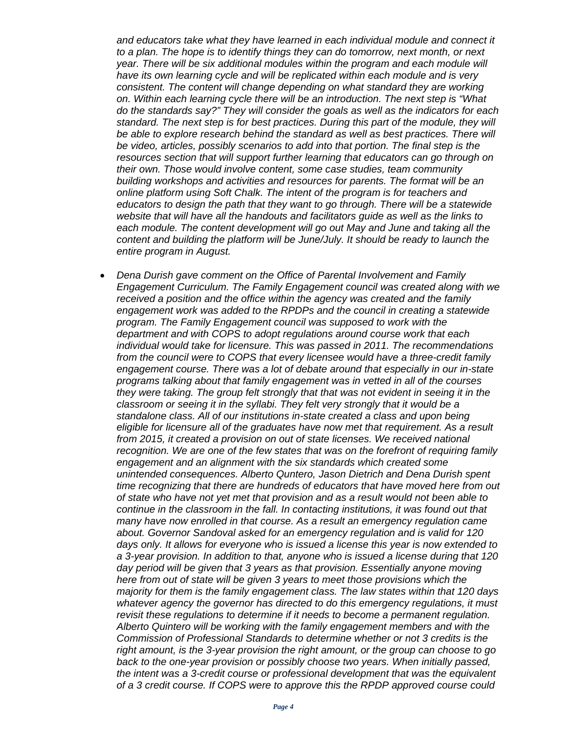*and educators take what they have learned in each individual module and connect it to a plan. The hope is to identify things they can do tomorrow, next month, or next year. There will be six additional modules within the program and each module will have its own learning cycle and will be replicated within each module and is very consistent. The content will change depending on what standard they are working on. Within each learning cycle there will be an introduction. The next step is "What do the standards say?" They will consider the goals as well as the indicators for each standard. The next step is for best practices. During this part of the module, they will*  be able to explore research behind the standard as well as best practices. There will *be video, articles, possibly scenarios to add into that portion. The final step is the resources section that will support further learning that educators can go through on their own. Those would involve content, some case studies, team community building workshops and activities and resources for parents. The format will be an online platform using Soft Chalk. The intent of the program is for teachers and educators to design the path that they want to go through. There will be a statewide website that will have all the handouts and facilitators guide as well as the links to each module. The content development will go out May and June and taking all the content and building the platform will be June/July. It should be ready to launch the entire program in August.*

• *Dena Durish gave comment on the Office of Parental Involvement and Family Engagement Curriculum. The Family Engagement council was created along with we received a position and the office within the agency was created and the family engagement work was added to the RPDPs and the council in creating a statewide program. The Family Engagement council was supposed to work with the department and with COPS to adopt regulations around course work that each individual would take for licensure. This was passed in 2011. The recommendations from the council were to COPS that every licensee would have a three-credit family engagement course. There was a lot of debate around that especially in our in-state programs talking about that family engagement was in vetted in all of the courses they were taking. The group felt strongly that that was not evident in seeing it in the classroom or seeing it in the syllabi. They felt very strongly that it would be a standalone class. All of our institutions in-state created a class and upon being eligible for licensure all of the graduates have now met that requirement. As a result from 2015, it created a provision on out of state licenses. We received national recognition. We are one of the few states that was on the forefront of requiring family engagement and an alignment with the six standards which created some unintended consequences. Alberto Quntero, Jason Dietrich and Dena Durish spent time recognizing that there are hundreds of educators that have moved here from out of state who have not yet met that provision and as a result would not been able to continue in the classroom in the fall. In contacting institutions, it was found out that many have now enrolled in that course. As a result an emergency regulation came about. Governor Sandoval asked for an emergency regulation and is valid for 120 days only. It allows for everyone who is issued a license this year is now extended to a 3-year provision. In addition to that, anyone who is issued a license during that 120 day period will be given that 3 years as that provision. Essentially anyone moving here from out of state will be given 3 years to meet those provisions which the majority for them is the family engagement class. The law states within that 120 days whatever agency the governor has directed to do this emergency regulations, it must revisit these regulations to determine if it needs to become a permanent regulation. Alberto Quintero will be working with the family engagement members and with the Commission of Professional Standards to determine whether or not 3 credits is the right amount, is the 3-year provision the right amount, or the group can choose to go*  back to the one-year provision or possibly choose two years. When initially passed, *the intent was a 3-credit course or professional development that was the equivalent of a 3 credit course. If COPS were to approve this the RPDP approved course could*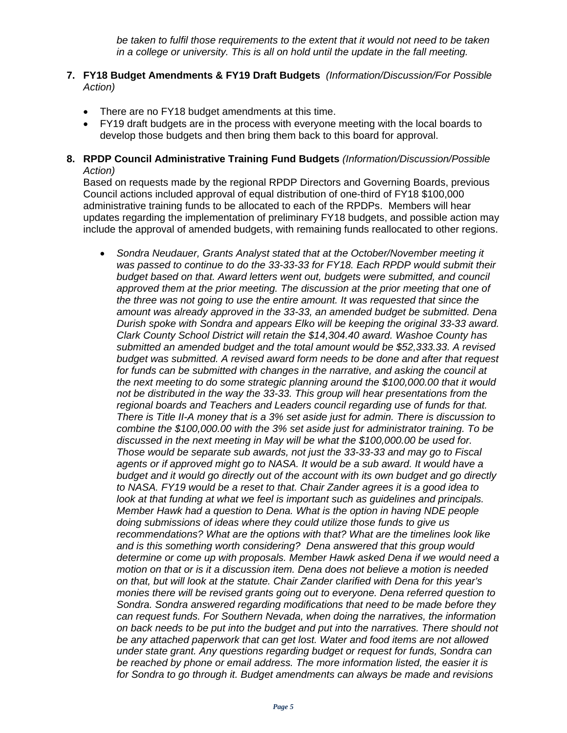*be taken to fulfil those requirements to the extent that it would not need to be taken in a college or university. This is all on hold until the update in the fall meeting.* 

### **7. FY18 Budget Amendments & FY19 Draft Budgets** *(Information/Discussion/For Possible Action)*

- There are no FY18 budget amendments at this time.
- FY19 draft budgets are in the process with everyone meeting with the local boards to develop those budgets and then bring them back to this board for approval.

### **8. RPDP Council Administrative Training Fund Budgets** *(Information/Discussion/Possible Action)*

Based on requests made by the regional RPDP Directors and Governing Boards, previous Council actions included approval of equal distribution of one-third of FY18 \$100,000 administrative training funds to be allocated to each of the RPDPs. Members will hear updates regarding the implementation of preliminary FY18 budgets, and possible action may include the approval of amended budgets, with remaining funds reallocated to other regions.

• *Sondra Neudauer, Grants Analyst stated that at the October/November meeting it was passed to continue to do the 33-33-33 for FY18. Each RPDP would submit their budget based on that. Award letters went out, budgets were submitted, and council approved them at the prior meeting. The discussion at the prior meeting that one of the three was not going to use the entire amount. It was requested that since the amount was already approved in the 33-33, an amended budget be submitted. Dena Durish spoke with Sondra and appears Elko will be keeping the original 33-33 award. Clark County School District will retain the \$14,304.40 award. Washoe County has submitted an amended budget and the total amount would be \$52,333.33. A revised budget was submitted. A revised award form needs to be done and after that request for funds can be submitted with changes in the narrative, and asking the council at the next meeting to do some strategic planning around the \$100,000.00 that it would not be distributed in the way the 33-33. This group will hear presentations from the regional boards and Teachers and Leaders council regarding use of funds for that. There is Title II-A money that is a 3% set aside just for admin. There is discussion to combine the \$100,000.00 with the 3% set aside just for administrator training. To be discussed in the next meeting in May will be what the \$100,000.00 be used for. Those would be separate sub awards, not just the 33-33-33 and may go to Fiscal*  agents or if approved might go to NASA. It would be a sub award. It would have a *budget and it would go directly out of the account with its own budget and go directly to NASA. FY19 would be a reset to that. Chair Zander agrees it is a good idea to look at that funding at what we feel is important such as guidelines and principals. Member Hawk had a question to Dena. What is the option in having NDE people doing submissions of ideas where they could utilize those funds to give us recommendations? What are the options with that? What are the timelines look like and is this something worth considering? Dena answered that this group would determine or come up with proposals. Member Hawk asked Dena if we would need a motion on that or is it a discussion item. Dena does not believe a motion is needed on that, but will look at the statute. Chair Zander clarified with Dena for this year's monies there will be revised grants going out to everyone. Dena referred question to Sondra. Sondra answered regarding modifications that need to be made before they can request funds. For Southern Nevada, when doing the narratives, the information on back needs to be put into the budget and put into the narratives. There should not be any attached paperwork that can get lost. Water and food items are not allowed under state grant. Any questions regarding budget or request for funds, Sondra can be reached by phone or email address. The more information listed, the easier it is for Sondra to go through it. Budget amendments can always be made and revisions*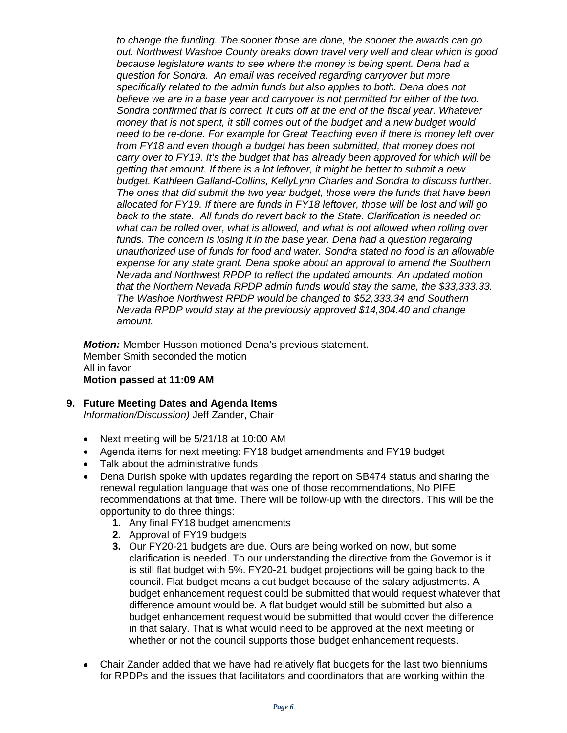*to change the funding. The sooner those are done, the sooner the awards can go out. Northwest Washoe County breaks down travel very well and clear which is good because legislature wants to see where the money is being spent. Dena had a question for Sondra. An email was received regarding carryover but more specifically related to the admin funds but also applies to both. Dena does not believe we are in a base year and carryover is not permitted for either of the two. Sondra confirmed that is correct. It cuts off at the end of the fiscal year. Whatever money that is not spent, it still comes out of the budget and a new budget would need to be re-done. For example for Great Teaching even if there is money left over from FY18 and even though a budget has been submitted, that money does not carry over to FY19. It's the budget that has already been approved for which will be getting that amount. If there is a lot leftover, it might be better to submit a new budget. Kathleen Galland-Collins, KellyLynn Charles and Sondra to discuss further. The ones that did submit the two year budget, those were the funds that have been allocated for FY19. If there are funds in FY18 leftover, those will be lost and will go back to the state. All funds do revert back to the State. Clarification is needed on what can be rolled over, what is allowed, and what is not allowed when rolling over funds. The concern is losing it in the base year. Dena had a question regarding unauthorized use of funds for food and water. Sondra stated no food is an allowable expense for any state grant. Dena spoke about an approval to amend the Southern Nevada and Northwest RPDP to reflect the updated amounts. An updated motion that the Northern Nevada RPDP admin funds would stay the same, the \$33,333.33. The Washoe Northwest RPDP would be changed to \$52,333.34 and Southern Nevada RPDP would stay at the previously approved \$14,304.40 and change amount.* 

*Motion:* Member Husson motioned Dena's previous statement. Member Smith seconded the motion All in favor **Motion passed at 11:09 AM**

- **9. Future Meeting Dates and Agenda Items**  *Information/Discussion)* Jeff Zander, Chair
	- Next meeting will be 5/21/18 at 10:00 AM
	- Agenda items for next meeting: FY18 budget amendments and FY19 budget
	- Talk about the administrative funds
	- Dena Durish spoke with updates regarding the report on SB474 status and sharing the renewal regulation language that was one of those recommendations, No PIFE recommendations at that time. There will be follow-up with the directors. This will be the opportunity to do three things:
		- **1.** Any final FY18 budget amendments
		- **2.** Approval of FY19 budgets
		- **3.** Our FY20-21 budgets are due. Ours are being worked on now, but some clarification is needed. To our understanding the directive from the Governor is it is still flat budget with 5%. FY20-21 budget projections will be going back to the council. Flat budget means a cut budget because of the salary adjustments. A budget enhancement request could be submitted that would request whatever that difference amount would be. A flat budget would still be submitted but also a budget enhancement request would be submitted that would cover the difference in that salary. That is what would need to be approved at the next meeting or whether or not the council supports those budget enhancement requests.
	- Chair Zander added that we have had relatively flat budgets for the last two bienniums for RPDPs and the issues that facilitators and coordinators that are working within the